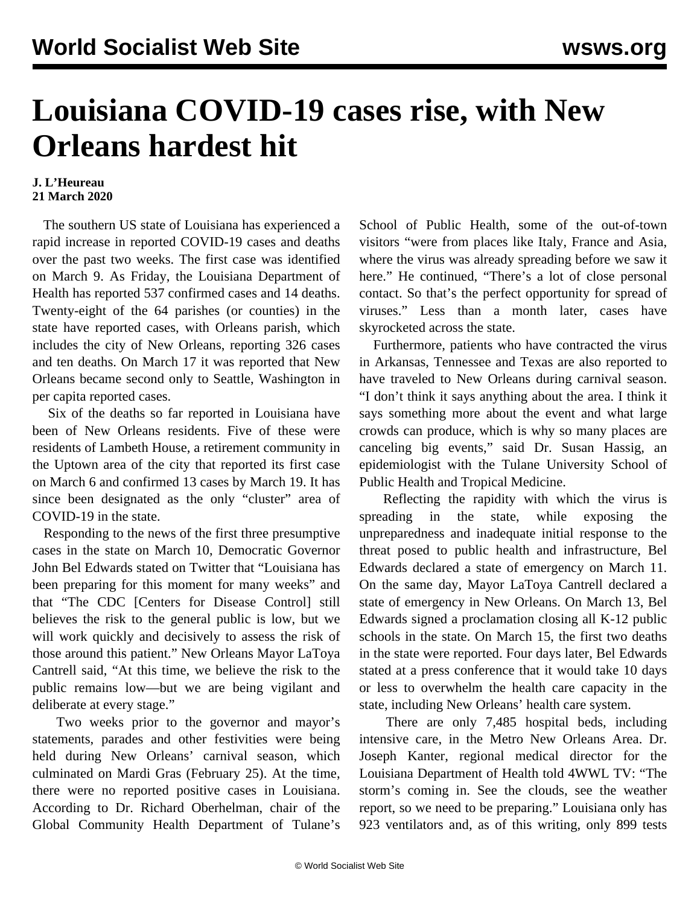## **Louisiana COVID-19 cases rise, with New Orleans hardest hit**

## **J. L'Heureau 21 March 2020**

 The southern US state of Louisiana has experienced a rapid increase in reported COVID-19 cases and deaths over the past two weeks. The first case was identified on March 9. As Friday, the Louisiana Department of Health has reported 537 confirmed cases and 14 deaths. Twenty-eight of the 64 parishes (or counties) in the state have reported cases, with Orleans parish, which includes the city of New Orleans, reporting 326 cases and ten deaths. On March 17 it was reported that New Orleans became second only to Seattle, Washington in per capita reported cases.

 Six of the deaths so far reported in Louisiana have been of New Orleans residents. Five of these were residents of Lambeth House, a retirement community in the Uptown area of the city that reported its first case on March 6 and confirmed 13 cases by March 19. It has since been designated as the only "cluster" area of COVID-19 in the state.

 Responding to the news of the first three presumptive cases in the state on March 10, Democratic Governor John Bel Edwards stated on Twitter that "Louisiana has been preparing for this moment for many weeks" and that "The CDC [Centers for Disease Control] still believes the risk to the general public is low, but we will work quickly and decisively to assess the risk of those around this patient." New Orleans Mayor LaToya Cantrell said, "At this time, we believe the risk to the public remains low—but we are being vigilant and deliberate at every stage."

 Two weeks prior to the governor and mayor's statements, parades and other festivities were being held during New Orleans' carnival season, which culminated on Mardi Gras (February 25). At the time, there were no reported positive cases in Louisiana. According to Dr. Richard Oberhelman, chair of the Global Community Health Department of Tulane's School of Public Health, some of the out-of-town visitors "were from places like Italy, France and Asia, where the virus was already spreading before we saw it here." He continued, "There's a lot of close personal contact. So that's the perfect opportunity for spread of viruses." Less than a month later, cases have skyrocketed across the state.

 Furthermore, patients who have contracted the virus in Arkansas, Tennessee and Texas are also reported to have traveled to New Orleans during carnival season. "I don't think it says anything about the area. I think it says something more about the event and what large crowds can produce, which is why so many places are canceling big events," said Dr. Susan Hassig, an epidemiologist with the Tulane University School of Public Health and Tropical Medicine.

 Reflecting the rapidity with which the virus is spreading in the state, while exposing the unpreparedness and inadequate initial response to the threat posed to public health and infrastructure, Bel Edwards declared a state of emergency on March 11. On the same day, Mayor LaToya Cantrell declared a state of emergency in New Orleans. On March 13, Bel Edwards signed a proclamation closing all K-12 public schools in the state. On March 15, the first two deaths in the state were reported. Four days later, Bel Edwards stated at a press conference that it would take 10 days or less to overwhelm the health care capacity in the state, including New Orleans' health care system.

 There are only 7,485 hospital beds, including intensive care, in the Metro New Orleans Area. Dr. Joseph Kanter, regional medical director for the Louisiana Department of Health told 4WWL TV: "The storm's coming in. See the clouds, see the weather report, so we need to be preparing." Louisiana only has 923 ventilators and, as of this writing, only 899 tests